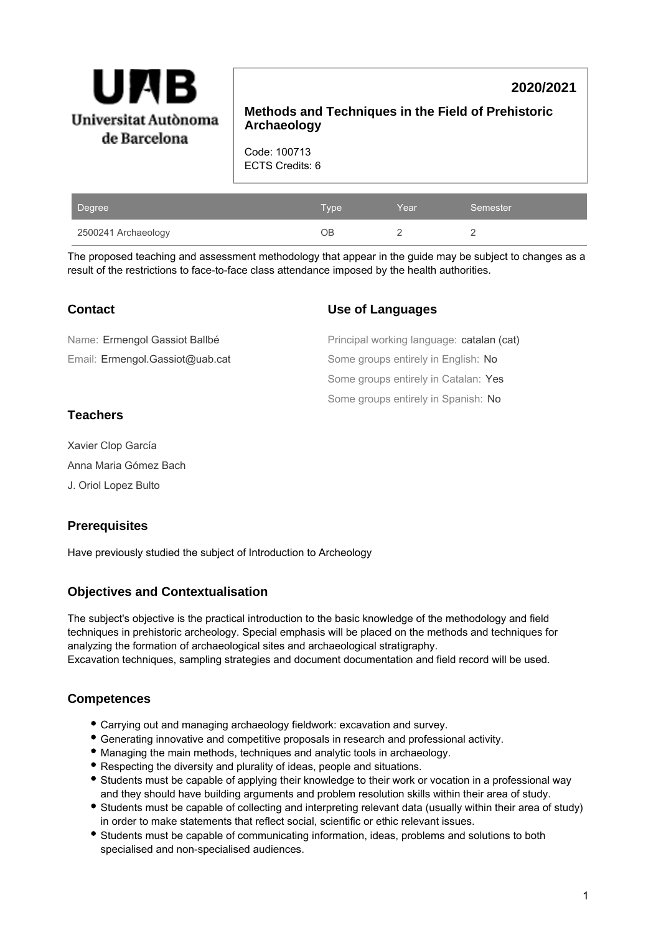

# **2020/2021**

**Methods and Techniques in the Field of Prehistoric Archaeology**

**Use of Languages**

Code: 100713 ECTS Credits: 6

| Degree              | <b>Type</b> | Year | Semester |
|---------------------|-------------|------|----------|
| 2500241 Archaeology | ОB          |      |          |

The proposed teaching and assessment methodology that appear in the guide may be subject to changes as a result of the restrictions to face-to-face class attendance imposed by the health authorities.

| Name: Ermengol Gassiot Ballbé   | Principal working language: catalan (cat) |
|---------------------------------|-------------------------------------------|
| Email: Ermengol.Gassiot@uab.cat | Some groups entirely in English: No       |
|                                 | Some groups entirely in Catalan: Yes      |
|                                 | Some groups entirely in Spanish: No       |
|                                 |                                           |

### **Teachers**

**Contact**

Xavier Clop García Anna Maria Gómez Bach

J. Oriol Lopez Bulto

## **Prerequisites**

Have previously studied the subject of Introduction to Archeology

## **Objectives and Contextualisation**

The subject's objective is the practical introduction to the basic knowledge of the methodology and field techniques in prehistoric archeology. Special emphasis will be placed on the methods and techniques for analyzing the formation of archaeological sites and archaeological stratigraphy. Excavation techniques, sampling strategies and document documentation and field record will be used.

## **Competences**

- Carrying out and managing archaeology fieldwork: excavation and survey.
- Generating innovative and competitive proposals in research and professional activity.
- Managing the main methods, techniques and analytic tools in archaeology.
- Respecting the diversity and plurality of ideas, people and situations.
- Students must be capable of applying their knowledge to their work or vocation in a professional way and they should have building arguments and problem resolution skills within their area of study.
- Students must be capable of collecting and interpreting relevant data (usually within their area of study) in order to make statements that reflect social, scientific or ethic relevant issues.
- Students must be capable of communicating information, ideas, problems and solutions to both specialised and non-specialised audiences.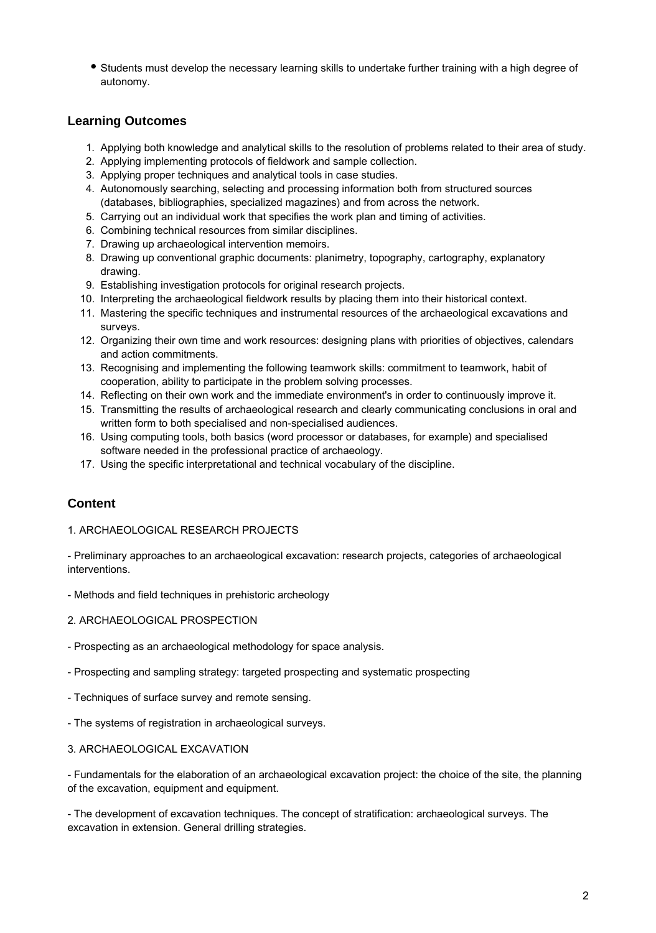Students must develop the necessary learning skills to undertake further training with a high degree of autonomy.

### **Learning Outcomes**

- 1. Applying both knowledge and analytical skills to the resolution of problems related to their area of study.
- 2. Applying implementing protocols of fieldwork and sample collection.
- 3. Applying proper techniques and analytical tools in case studies.
- 4. Autonomously searching, selecting and processing information both from structured sources (databases, bibliographies, specialized magazines) and from across the network.
- 5. Carrying out an individual work that specifies the work plan and timing of activities.
- 6. Combining technical resources from similar disciplines.
- 7. Drawing up archaeological intervention memoirs.
- 8. Drawing up conventional graphic documents: planimetry, topography, cartography, explanatory drawing.
- 9. Establishing investigation protocols for original research projects.
- 10. Interpreting the archaeological fieldwork results by placing them into their historical context.
- 11. Mastering the specific techniques and instrumental resources of the archaeological excavations and surveys.
- 12. Organizing their own time and work resources: designing plans with priorities of objectives, calendars and action commitments.
- 13. Recognising and implementing the following teamwork skills: commitment to teamwork, habit of cooperation, ability to participate in the problem solving processes.
- 14. Reflecting on their own work and the immediate environment's in order to continuously improve it.
- 15. Transmitting the results of archaeological research and clearly communicating conclusions in oral and written form to both specialised and non-specialised audiences.
- 16. Using computing tools, both basics (word processor or databases, for example) and specialised software needed in the professional practice of archaeology.
- 17. Using the specific interpretational and technical vocabulary of the discipline.

## **Content**

#### 1. ARCHAEOLOGICAL RESEARCH PROJECTS

- Preliminary approaches to an archaeological excavation: research projects, categories of archaeological interventions.

- Methods and field techniques in prehistoric archeology

- 2. ARCHAEOLOGICAL PROSPECTION
- Prospecting as an archaeological methodology for space analysis.
- Prospecting and sampling strategy: targeted prospecting and systematic prospecting
- Techniques of surface survey and remote sensing.
- The systems of registration in archaeological surveys.

#### 3. ARCHAEOLOGICAL EXCAVATION

- Fundamentals for the elaboration of an archaeological excavation project: the choice of the site, the planning of the excavation, equipment and equipment.

- The development of excavation techniques. The concept of stratification: archaeological surveys. The excavation in extension. General drilling strategies.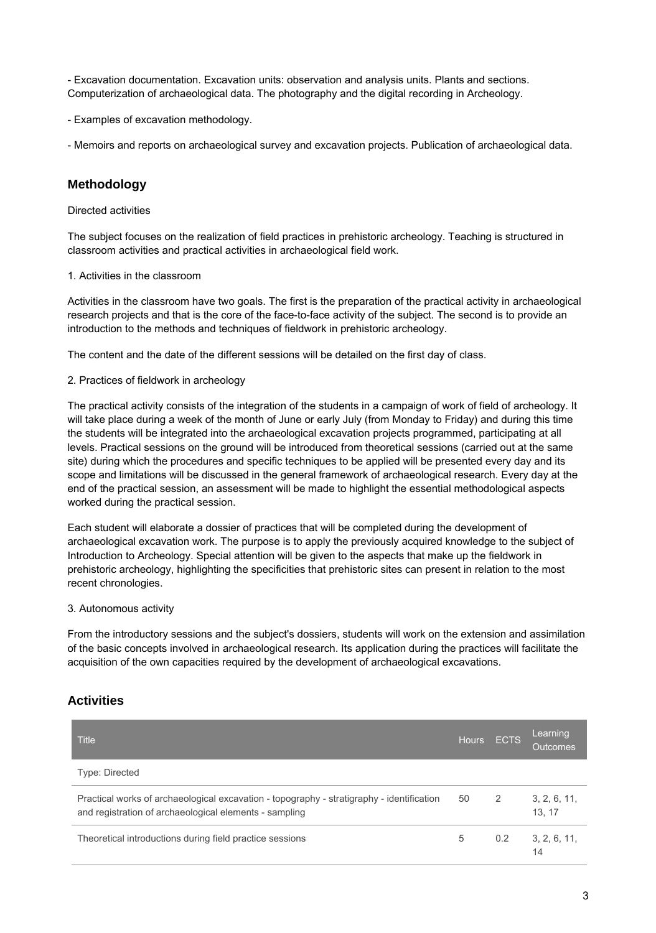- Excavation documentation. Excavation units: observation and analysis units. Plants and sections. Computerization of archaeological data. The photography and the digital recording in Archeology.

- Examples of excavation methodology.

- Memoirs and reports on archaeological survey and excavation projects. Publication of archaeological data.

### **Methodology**

Directed activities

The subject focuses on the realization of field practices in prehistoric archeology. Teaching is structured in classroom activities and practical activities in archaeological field work.

#### 1. Activities in the classroom

Activities in the classroom have two goals. The first is the preparation of the practical activity in archaeological research projects and that is the core of the face-to-face activity of the subject. The second is to provide an introduction to the methods and techniques of fieldwork in prehistoric archeology.

The content and the date of the different sessions will be detailed on the first day of class.

#### 2. Practices of fieldwork in archeology

The practical activity consists of the integration of the students in a campaign of work of field of archeology. It will take place during a week of the month of June or early July (from Monday to Friday) and during this time the students will be integrated into the archaeological excavation projects programmed, participating at all levels. Practical sessions on the ground will be introduced from theoretical sessions (carried out at the same site) during which the procedures and specific techniques to be applied will be presented every day and its scope and limitations will be discussed in the general framework of archaeological research. Every day at the end of the practical session, an assessment will be made to highlight the essential methodological aspects worked during the practical session.

Each student will elaborate a dossier of practices that will be completed during the development of archaeological excavation work. The purpose is to apply the previously acquired knowledge to the subject of Introduction to Archeology. Special attention will be given to the aspects that make up the fieldwork in prehistoric archeology, highlighting the specificities that prehistoric sites can present in relation to the most recent chronologies.

#### 3. Autonomous activity

From the introductory sessions and the subject's dossiers, students will work on the extension and assimilation of the basic concepts involved in archaeological research. Its application during the practices will facilitate the acquisition of the own capacities required by the development of archaeological excavations.

### **Activities**

| <b>Title</b>                                                                                                                                        | <b>Hours</b> | <b>ECTS</b> | Learning<br><b>Outcomes</b> |
|-----------------------------------------------------------------------------------------------------------------------------------------------------|--------------|-------------|-----------------------------|
| Type: Directed                                                                                                                                      |              |             |                             |
| Practical works of archaeological excavation - topography - stratigraphy - identification<br>and registration of archaeological elements - sampling | 50           | 2           | 3, 2, 6, 11,<br>13.17       |
| Theoretical introductions during field practice sessions                                                                                            | 5            | 0.2         | 3, 2, 6, 11,<br>14          |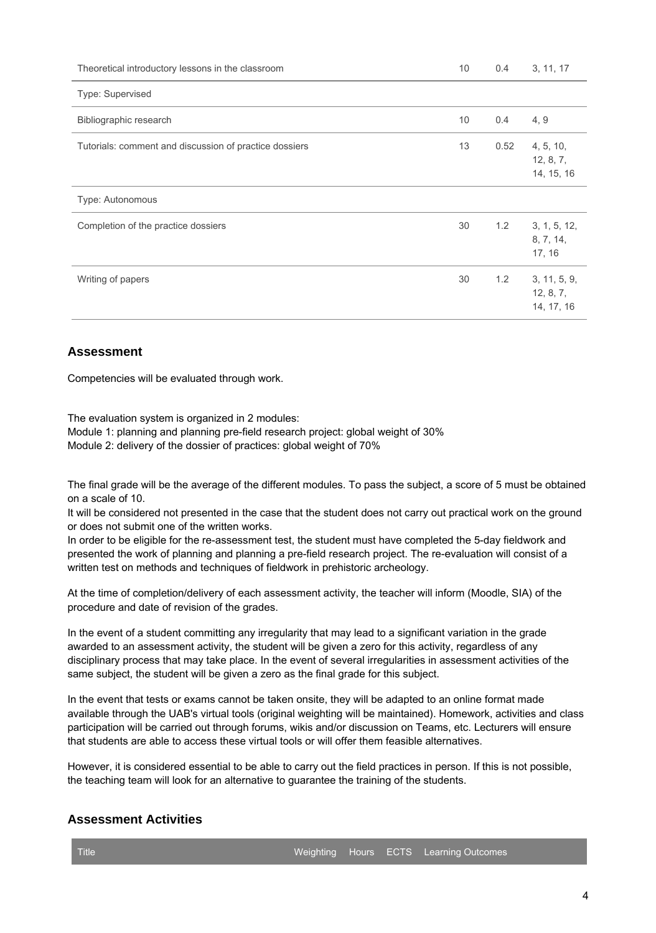| Theoretical introductory lessons in the classroom      | 10 | 0.4  | 3, 11, 17                               |
|--------------------------------------------------------|----|------|-----------------------------------------|
| Type: Supervised                                       |    |      |                                         |
| Bibliographic research                                 | 10 | 0.4  | 4, 9                                    |
| Tutorials: comment and discussion of practice dossiers | 13 | 0.52 | 4, 5, 10,<br>12, 8, 7,<br>14, 15, 16    |
| Type: Autonomous                                       |    |      |                                         |
| Completion of the practice dossiers                    | 30 | 1.2  | 3, 1, 5, 12,<br>8, 7, 14,<br>17, 16     |
| Writing of papers                                      | 30 | 1.2  | 3, 11, 5, 9,<br>12, 8, 7,<br>14, 17, 16 |

### **Assessment**

Competencies will be evaluated through work.

The evaluation system is organized in 2 modules:

Module 1: planning and planning pre-field research project: global weight of 30% Module 2: delivery of the dossier of practices: global weight of 70%

The final grade will be the average of the different modules. To pass the subject, a score of 5 must be obtained on a scale of 10.

It will be considered not presented in the case that the student does not carry out practical work on the ground or does not submit one of the written works.

In order to be eligible for the re-assessment test, the student must have completed the 5-day fieldwork and presented the work of planning and planning a pre-field research project. The re-evaluation will consist of a written test on methods and techniques of fieldwork in prehistoric archeology.

At the time of completion/delivery of each assessment activity, the teacher will inform (Moodle, SIA) of the procedure and date of revision of the grades.

In the event of a student committing any irregularity that may lead to a significant variation in the grade awarded to an assessment activity, the student will be given a zero for this activity, regardless of any disciplinary process that may take place. In the event of several irregularities in assessment activities of the same subject, the student will be given a zero as the final grade for this subject.

In the event that tests or exams cannot be taken onsite, they will be adapted to an online format made available through the UAB's virtual tools (original weighting will be maintained). Homework, activities and class participation will be carried out through forums, wikis and/or discussion on Teams, etc. Lecturers will ensure that students are able to access these virtual tools or will offer them feasible alternatives.

However, it is considered essential to be able to carry out the field practices in person. If this is not possible, the teaching team will look for an alternative to guarantee the training of the students.

### **Assessment Activities**